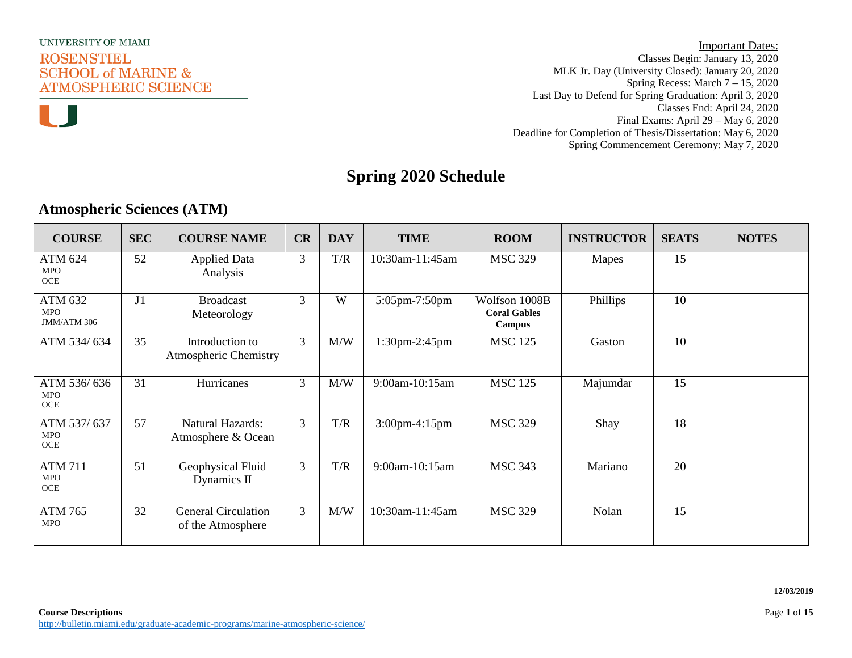

**Important Dates:** Classes Begin: January 13, 2020 MLK Jr. Day (University Closed): January 20, 2020 Spring Recess: March 7 – 15, 2020 Last Day to Defend for Spring Graduation: April 3, 2020 Classes End: April 24, 2020 Final Exams: April 29 – May 6, 2020 Deadline for Completion of Thesis/Dissertation: May 6, 2020 Spring Commencement Ceremony: May 7, 2020

### **Spring 2020 Schedule**

### **Atmospheric Sciences (ATM)**

| <b>COURSE</b>                           | <b>SEC</b>     | <b>COURSE NAME</b>                              | CR             | <b>DAY</b> | <b>TIME</b>     | <b>ROOM</b>                                    | <b>INSTRUCTOR</b> | <b>SEATS</b> | <b>NOTES</b> |
|-----------------------------------------|----------------|-------------------------------------------------|----------------|------------|-----------------|------------------------------------------------|-------------------|--------------|--------------|
| ATM 624<br><b>MPO</b><br><b>OCE</b>     | 52             | <b>Applied Data</b><br>Analysis                 | 3              | T/R        | 10:30am-11:45am | <b>MSC 329</b>                                 | Mapes             | 15           |              |
| ATM 632<br><b>MPO</b><br>JMM/ATM 306    | J <sub>1</sub> | <b>Broadcast</b><br>Meteorology                 | 3              | W          | 5:05pm-7:50pm   | Wolfson 1008B<br><b>Coral Gables</b><br>Campus | Phillips          | 10           |              |
| ATM 534/634                             | 35             | Introduction to<br><b>Atmospheric Chemistry</b> | $\overline{3}$ | M/W        | 1:30pm-2:45pm   | <b>MSC 125</b>                                 | Gaston            | 10           |              |
| ATM 536/636<br><b>MPO</b><br><b>OCE</b> | 31             | Hurricanes                                      | $\overline{3}$ | M/W        | 9:00am-10:15am  | <b>MSC 125</b>                                 | Majumdar          | 15           |              |
| ATM 537/637<br><b>MPO</b><br>OCE        | 57             | <b>Natural Hazards:</b><br>Atmosphere & Ocean   | $\overline{3}$ | T/R        | 3:00pm-4:15pm   | <b>MSC 329</b>                                 | Shay              | 18           |              |
| <b>ATM 711</b><br><b>MPO</b><br>OCE     | 51             | Geophysical Fluid<br>Dynamics II                | $\mathfrak{Z}$ | T/R        | 9:00am-10:15am  | <b>MSC 343</b>                                 | Mariano           | 20           |              |
| <b>ATM 765</b><br><b>MPO</b>            | 32             | <b>General Circulation</b><br>of the Atmosphere | $\mathfrak{Z}$ | M/W        | 10:30am-11:45am | <b>MSC 329</b>                                 | Nolan             | 15           |              |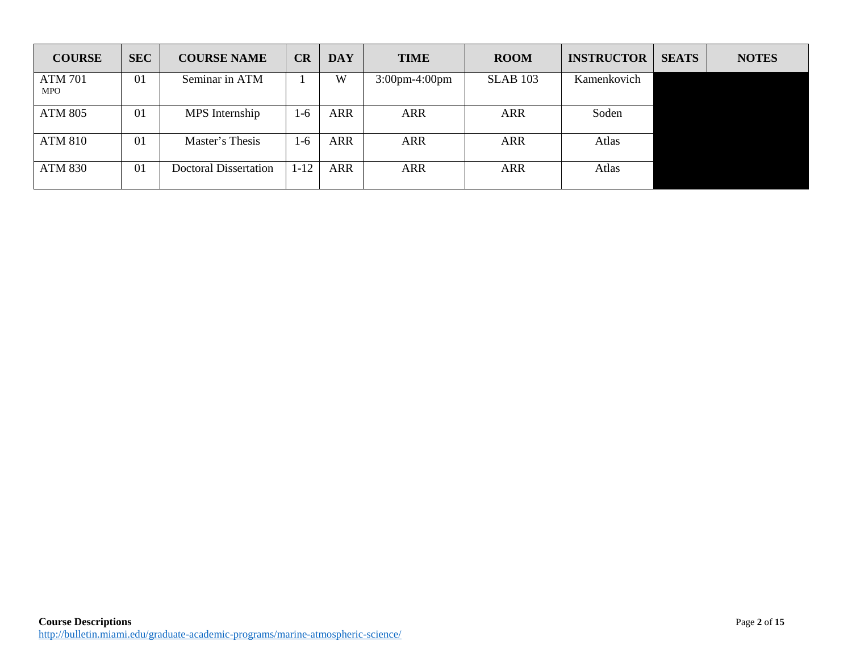| <b>COURSE</b>                | <b>SEC</b> | <b>COURSE NAME</b>           | CR      | <b>DAY</b> | <b>TIME</b>      | <b>ROOM</b>     | <b>INSTRUCTOR</b> | <b>SEATS</b> | <b>NOTES</b> |
|------------------------------|------------|------------------------------|---------|------------|------------------|-----------------|-------------------|--------------|--------------|
| <b>ATM 701</b><br><b>MPO</b> | 01         | Seminar in ATM               |         | W          | $3:00$ pm-4:00pm | <b>SLAB 103</b> | Kamenkovich       |              |              |
| <b>ATM 805</b>               | 01         | MPS Internship               | $1 - 6$ | <b>ARR</b> | <b>ARR</b>       | <b>ARR</b>      | Soden             |              |              |
| <b>ATM 810</b>               | 01         | Master's Thesis              | $1-6$   | <b>ARR</b> | <b>ARR</b>       | <b>ARR</b>      | Atlas             |              |              |
| <b>ATM 830</b>               | 01         | <b>Doctoral Dissertation</b> | 1-12    | <b>ARR</b> | <b>ARR</b>       | <b>ARR</b>      | Atlas             |              |              |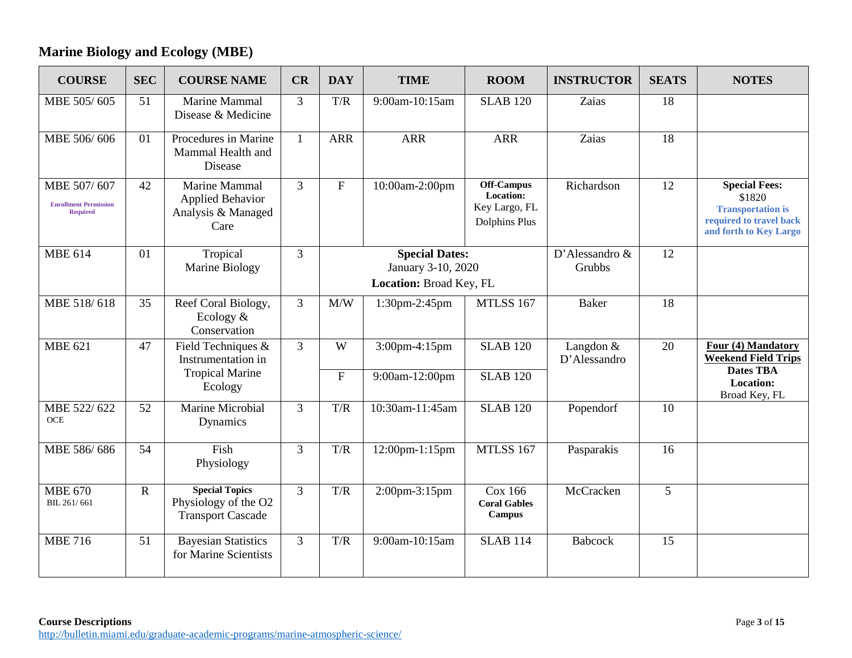### **Marine Biology and Ecology (MBE)**

| <b>COURSE</b>                                                  | <b>SEC</b>  | <b>COURSE NAME</b>                                                        | CR             | <b>DAY</b>                | <b>TIME</b>                                                            | <b>ROOM</b>                                                      | <b>INSTRUCTOR</b>         | <b>SEATS</b>    | <b>NOTES</b>                                                                                                    |
|----------------------------------------------------------------|-------------|---------------------------------------------------------------------------|----------------|---------------------------|------------------------------------------------------------------------|------------------------------------------------------------------|---------------------------|-----------------|-----------------------------------------------------------------------------------------------------------------|
| MBE 505/605                                                    | 51          | Marine Mammal<br>Disease & Medicine                                       | 3              | T/R                       | 9:00am-10:15am                                                         | <b>SLAB 120</b>                                                  | Zaias                     | 18              |                                                                                                                 |
| MBE 506/606                                                    | 01          | Procedures in Marine<br>Mammal Health and<br>Disease                      | $\mathbf{1}$   | <b>ARR</b>                | <b>ARR</b>                                                             | <b>ARR</b>                                                       | Zaias                     | $\overline{18}$ |                                                                                                                 |
| MBE 507/607<br><b>Enrollment Permission</b><br><b>Required</b> | 42          | Marine Mammal<br><b>Applied Behavior</b><br>Analysis & Managed<br>Care    | 3              | $\mathbf{F}$              | 10:00am-2:00pm                                                         | <b>Off-Campus</b><br>Location:<br>Key Largo, FL<br>Dolphins Plus | Richardson                | 12              | <b>Special Fees:</b><br>\$1820<br><b>Transportation is</b><br>required to travel back<br>and forth to Key Largo |
| <b>MBE 614</b>                                                 | 01          | Tropical<br>Marine Biology                                                | 3              |                           | <b>Special Dates:</b><br>January 3-10, 2020<br>Location: Broad Key, FL |                                                                  | D'Alessandro &<br>Grubbs  | 12              |                                                                                                                 |
| MBE 518/618                                                    | 35          | Reef Coral Biology,<br>Ecology $&$<br>Conservation                        | $\overline{3}$ | M/W                       | 1:30pm-2:45pm                                                          | <b>MTLSS 167</b>                                                 | <b>Baker</b>              | $\overline{18}$ |                                                                                                                 |
| MBE $621$                                                      | 47          | Field Techniques &<br>Instrumentation in<br><b>Tropical Marine</b>        | 3              | W                         | 3:00pm-4:15pm                                                          | <b>SLAB 120</b>                                                  | Langdon &<br>D'Alessandro | 20              | Four (4) Mandatory<br><b>Weekend Field Trips</b><br><b>Dates TBA</b>                                            |
|                                                                |             | Ecology                                                                   |                | $\boldsymbol{\mathrm{F}}$ | 9:00am-12:00pm                                                         | <b>SLAB 120</b>                                                  |                           |                 | Location:<br>Broad Key, FL                                                                                      |
| MBE 522/622<br>OCE                                             | 52          | Marine Microbial<br>Dynamics                                              | 3              | T/R                       | 10:30am-11:45am                                                        | <b>SLAB 120</b>                                                  | Popendorf                 | 10              |                                                                                                                 |
| MBE 586/686                                                    | 54          | Fish<br>Physiology                                                        | $\overline{3}$ | T/R                       | 12:00pm-1:15pm                                                         | <b>MTLSS 167</b>                                                 | Pasparakis                | 16              |                                                                                                                 |
| <b>MBE 670</b><br>BIL 261/661                                  | $\mathbf R$ | <b>Special Topics</b><br>Physiology of the O2<br><b>Transport Cascade</b> | $\overline{3}$ | T/R                       | 2:00pm-3:15pm                                                          | Cox 166<br><b>Coral Gables</b><br>Campus                         | McCracken                 | 5               |                                                                                                                 |
| <b>MBE 716</b>                                                 | 51          | <b>Bayesian Statistics</b><br>for Marine Scientists                       | 3              | T/R                       | 9:00am-10:15am                                                         | <b>SLAB 114</b>                                                  | <b>Babcock</b>            | 15              |                                                                                                                 |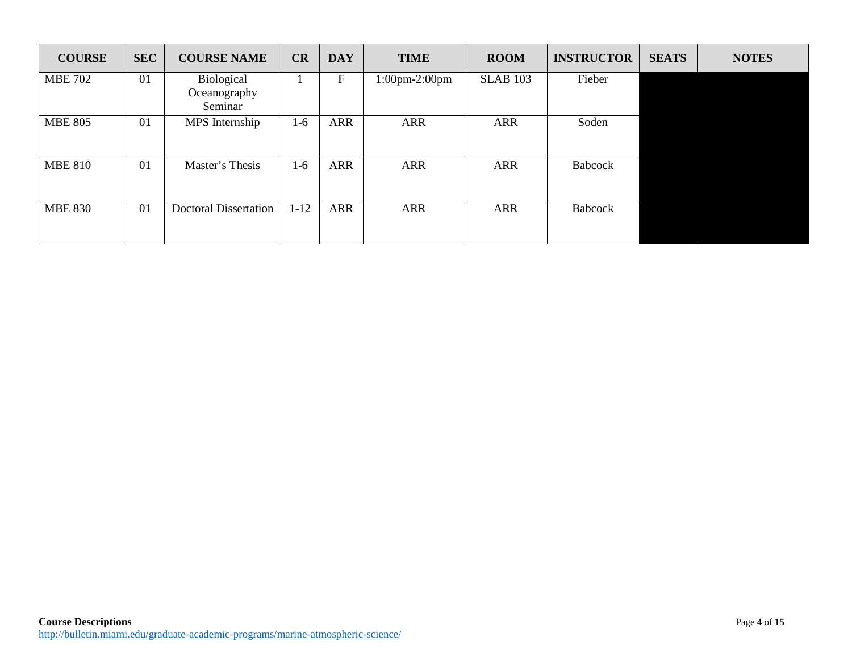| <b>COURSE</b>  | <b>SEC</b> | <b>COURSE NAME</b>                    | CR       | <b>DAY</b>  | <b>TIME</b>                     | <b>ROOM</b>     | <b>INSTRUCTOR</b> | <b>SEATS</b> | <b>NOTES</b> |
|----------------|------------|---------------------------------------|----------|-------------|---------------------------------|-----------------|-------------------|--------------|--------------|
| <b>MBE 702</b> | 01         | Biological<br>Oceanography<br>Seminar |          | $\mathbf F$ | $1:00 \text{pm-}2:00 \text{pm}$ | <b>SLAB 103</b> | Fieber            |              |              |
| <b>MBE 805</b> | 01         | MPS Internship                        | $1-6$    | <b>ARR</b>  | <b>ARR</b>                      | <b>ARR</b>      | Soden             |              |              |
| <b>MBE 810</b> | 01         | Master's Thesis                       | $1-6$    | ARR         | <b>ARR</b>                      | <b>ARR</b>      | <b>Babcock</b>    |              |              |
| <b>MBE 830</b> | 01         | <b>Doctoral Dissertation</b>          | $1 - 12$ | ARR         | <b>ARR</b>                      | <b>ARR</b>      | <b>Babcock</b>    |              |              |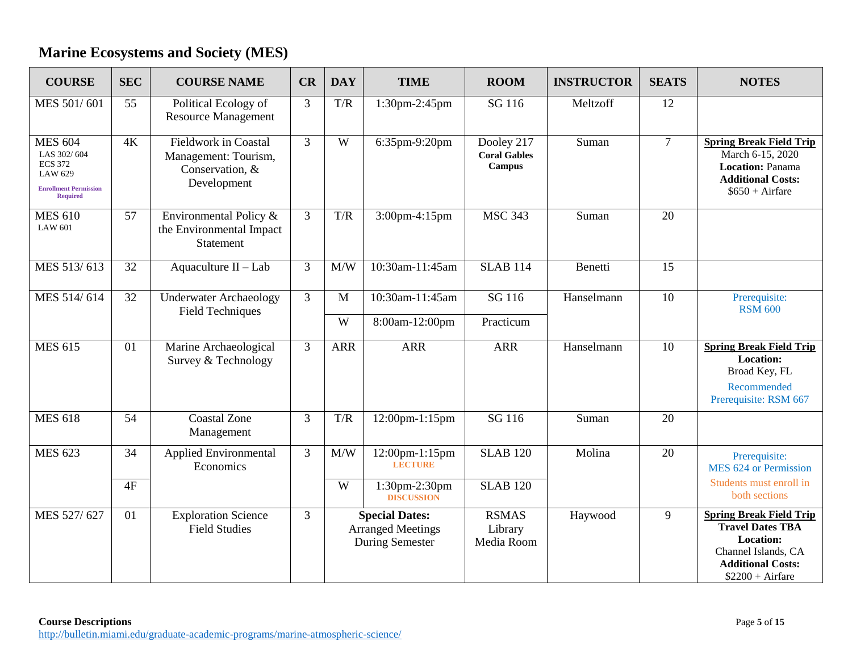## **Marine Ecosystems and Society (MES)**

| <b>COURSE</b>                                                                                                        | <b>SEC</b> | <b>COURSE NAME</b>                                                                    | CR             | <b>DAY</b> | <b>TIME</b>                                                                 | <b>ROOM</b>                                        | <b>INSTRUCTOR</b> | <b>SEATS</b> | <b>NOTES</b>                                                                                                                                          |
|----------------------------------------------------------------------------------------------------------------------|------------|---------------------------------------------------------------------------------------|----------------|------------|-----------------------------------------------------------------------------|----------------------------------------------------|-------------------|--------------|-------------------------------------------------------------------------------------------------------------------------------------------------------|
| MES 501/601                                                                                                          | 55         | Political Ecology of<br><b>Resource Management</b>                                    | $\overline{3}$ | T/R        | 1:30pm-2:45pm                                                               | SG 116                                             | Meltzoff          | 12           |                                                                                                                                                       |
| <b>MES 604</b><br>LAS 302/604<br><b>ECS 372</b><br><b>LAW 629</b><br><b>Enrollment Permission</b><br><b>Required</b> | 4K         | <b>Fieldwork in Coastal</b><br>Management: Tourism,<br>Conservation, &<br>Development | $\overline{3}$ | W          | 6:35pm-9:20pm                                                               | Dooley 217<br><b>Coral Gables</b><br><b>Campus</b> | Suman             | $\tau$       | <b>Spring Break Field Trip</b><br>March 6-15, 2020<br><b>Location: Panama</b><br><b>Additional Costs:</b><br>$$650 + Airfare$                         |
| <b>MES 610</b><br><b>LAW 601</b>                                                                                     | 57         | Environmental Policy &<br>the Environmental Impact<br><b>Statement</b>                | 3              | T/R        | 3:00pm-4:15pm                                                               | <b>MSC 343</b>                                     | Suman             | 20           |                                                                                                                                                       |
| MES 513/613                                                                                                          | 32         | Aquaculture II - Lab                                                                  | 3              | M/W        | 10:30am-11:45am                                                             | <b>SLAB 114</b>                                    | Benetti           | 15           |                                                                                                                                                       |
| MES 514/614                                                                                                          | 32         | <b>Underwater Archaeology</b><br><b>Field Techniques</b>                              | $\overline{3}$ | M          | 10:30am-11:45am                                                             | SG 116                                             | Hanselmann        | 10           | Prerequisite:<br><b>RSM 600</b>                                                                                                                       |
|                                                                                                                      |            |                                                                                       |                | W          | 8:00am-12:00pm                                                              | Practicum                                          |                   |              |                                                                                                                                                       |
| <b>MES 615</b>                                                                                                       | 01         | Marine Archaeological<br>Survey & Technology                                          | $\overline{3}$ | <b>ARR</b> | <b>ARR</b>                                                                  | <b>ARR</b>                                         | Hanselmann        | 10           | <b>Spring Break Field Trip</b><br>Location:<br>Broad Key, FL<br>Recommended<br>Prerequisite: RSM 667                                                  |
| <b>MES 618</b>                                                                                                       | 54         | <b>Coastal Zone</b><br>Management                                                     | $\overline{3}$ | T/R        | 12:00pm-1:15pm                                                              | SG 116                                             | Suman             | 20           |                                                                                                                                                       |
| <b>MES 623</b>                                                                                                       | 34         | Applied Environmental<br>Economics                                                    | 3              | M/W        | 12:00pm-1:15pm<br><b>LECTURE</b>                                            | <b>SLAB 120</b>                                    | Molina            | 20           | Prerequisite:<br>MES 624 or Permission                                                                                                                |
|                                                                                                                      | 4F         |                                                                                       |                | W          | 1:30pm-2:30pm<br><b>DISCUSSION</b>                                          | <b>SLAB 120</b>                                    |                   |              | Students must enroll in<br>both sections                                                                                                              |
| MES 527/627                                                                                                          | 01         | <b>Exploration Science</b><br><b>Field Studies</b>                                    | 3              |            | <b>Special Dates:</b><br><b>Arranged Meetings</b><br><b>During Semester</b> | <b>RSMAS</b><br>Library<br>Media Room              | Haywood           | 9            | <b>Spring Break Field Trip</b><br><b>Travel Dates TBA</b><br><b>Location:</b><br>Channel Islands, CA<br><b>Additional Costs:</b><br>$$2200 + Airfare$ |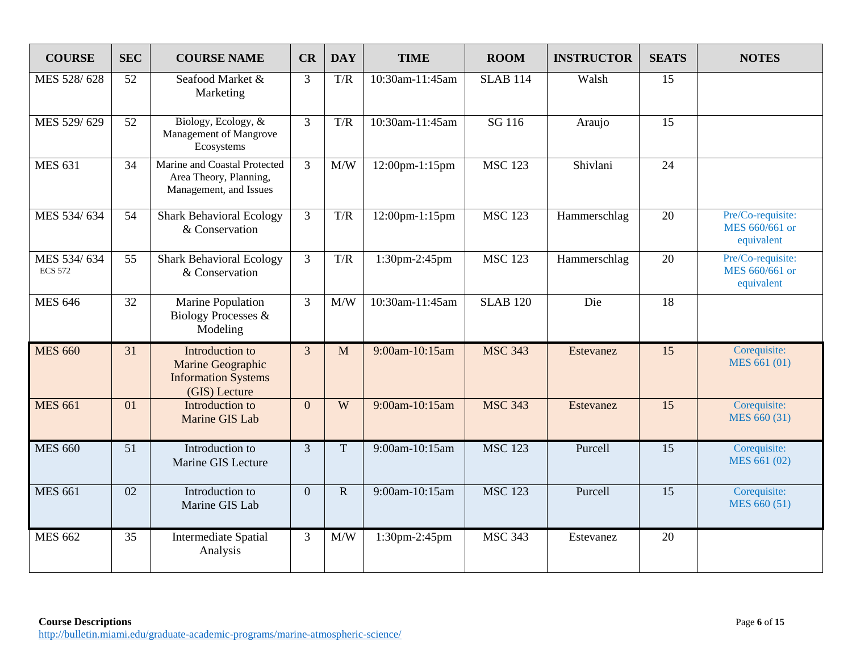| <b>COURSE</b>                 | <b>SEC</b> | <b>COURSE NAME</b>                                                                  | CR             | <b>DAY</b>              | <b>TIME</b>        | <b>ROOM</b>        | <b>INSTRUCTOR</b> | <b>SEATS</b> | <b>NOTES</b>                                      |
|-------------------------------|------------|-------------------------------------------------------------------------------------|----------------|-------------------------|--------------------|--------------------|-------------------|--------------|---------------------------------------------------|
| MES 528/628                   | 52         | Seafood Market &<br>Marketing                                                       | 3              | T/R                     | 10:30am-11:45am    | <b>SLAB 114</b>    | Walsh             | 15           |                                                   |
| MES 529/629                   | 52         | Biology, Ecology, &<br>Management of Mangrove<br>Ecosystems                         | $\overline{3}$ | T/R                     | 10:30am-11:45am    | $\overline{SG116}$ | Araujo            | 15           |                                                   |
| <b>MES 631</b>                | 34         | Marine and Coastal Protected<br>Area Theory, Planning,<br>Management, and Issues    | $\overline{3}$ | M/W                     | 12:00pm-1:15pm     | <b>MSC 123</b>     | Shivlani          | 24           |                                                   |
| MES 534/634                   | 54         | <b>Shark Behavioral Ecology</b><br>& Conservation                                   | 3              | T/R                     | 12:00pm-1:15pm     | <b>MSC 123</b>     | Hammerschlag      | 20           | Pre/Co-requisite:<br>MES 660/661 or<br>equivalent |
| MES 534/634<br><b>ECS 572</b> | 55         | <b>Shark Behavioral Ecology</b><br>& Conservation                                   | $\overline{3}$ | $\mathrm{T}/\mathrm{R}$ | 1:30pm-2:45pm      | <b>MSC 123</b>     | Hammerschlag      | 20           | Pre/Co-requisite:<br>MES 660/661 or<br>equivalent |
| <b>MES 646</b>                | 32         | Marine Population<br><b>Biology Processes &amp;</b><br>Modeling                     | $\overline{3}$ | M/W                     | $10:30$ am-11:45am | <b>SLAB 120</b>    | Die               | 18           |                                                   |
| <b>MES 660</b>                | 31         | Introduction to<br>Marine Geographic<br><b>Information Systems</b><br>(GIS) Lecture | $\overline{3}$ | M                       | 9:00am-10:15am     | <b>MSC 343</b>     | Estevanez         | 15           | Corequisite:<br>MES 661 (01)                      |
| <b>MES 661</b>                | 01         | Introduction to<br>Marine GIS Lab                                                   | $\overline{0}$ | W                       | 9:00am-10:15am     | <b>MSC 343</b>     | Estevanez         | 15           | Corequisite:<br>MES 660 (31)                      |
| <b>MES 660</b>                | 51         | Introduction to<br>Marine GIS Lecture                                               | $\overline{3}$ | $\mathbf T$             | 9:00am-10:15am     | <b>MSC 123</b>     | Purcell           | 15           | Corequisite:<br>MES 661 (02)                      |
| <b>MES 661</b>                | 02         | Introduction to<br>Marine GIS Lab                                                   | $\overline{0}$ | $\mathbf R$             | 9:00am-10:15am     | <b>MSC 123</b>     | Purcell           | 15           | Corequisite:<br>MES 660 (51)                      |
| <b>MES 662</b>                | 35         | <b>Intermediate Spatial</b><br>Analysis                                             | 3              | $\text{M}/\text{W}$     | 1:30pm-2:45pm      | <b>MSC 343</b>     | Estevanez         | 20           |                                                   |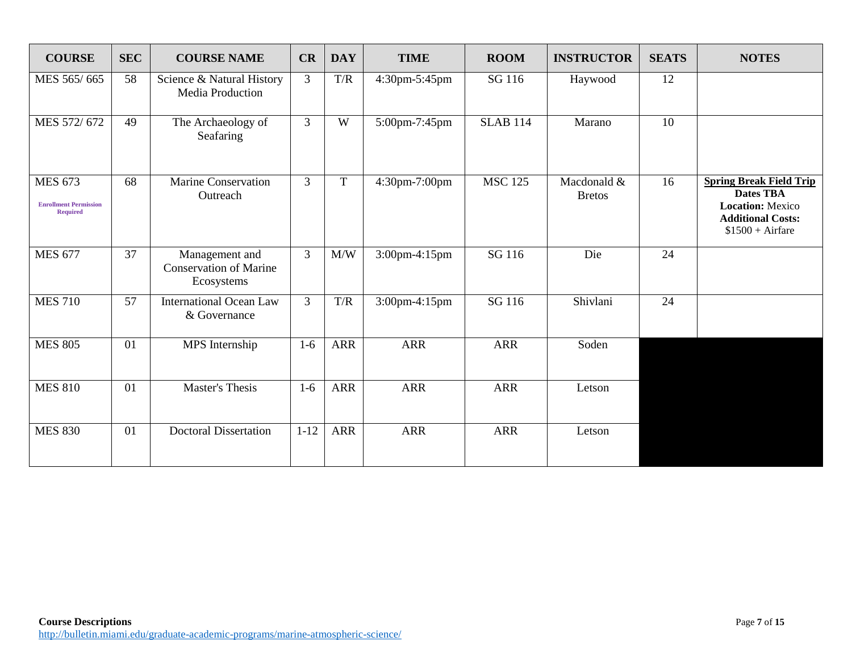| <b>COURSE</b>                                                     | <b>SEC</b> | <b>COURSE NAME</b>                                            | CR             | <b>DAY</b>              | <b>TIME</b>   | <b>ROOM</b>     | <b>INSTRUCTOR</b>            | <b>SEATS</b> | <b>NOTES</b>                                                                                                                   |
|-------------------------------------------------------------------|------------|---------------------------------------------------------------|----------------|-------------------------|---------------|-----------------|------------------------------|--------------|--------------------------------------------------------------------------------------------------------------------------------|
| MES 565/665                                                       | 58         | Science & Natural History<br>Media Production                 | 3              | T/R                     | 4:30pm-5:45pm | SG 116          | Haywood                      | 12           |                                                                                                                                |
| MES 572/672                                                       | 49         | The Archaeology of<br>Seafaring                               | $\overline{3}$ | W                       | 5:00pm-7:45pm | <b>SLAB 114</b> | Marano                       | 10           |                                                                                                                                |
| <b>MES 673</b><br><b>Enrollment Permission</b><br><b>Required</b> | 68         | <b>Marine Conservation</b><br>Outreach                        | $\overline{3}$ | $\mathbf T$             | 4:30pm-7:00pm | <b>MSC 125</b>  | Macdonald &<br><b>Bretos</b> | 16           | <b>Spring Break Field Trip</b><br><b>Dates TBA</b><br><b>Location: Mexico</b><br><b>Additional Costs:</b><br>$$1500 + Airfare$ |
| <b>MES 677</b>                                                    | 37         | Management and<br><b>Conservation of Marine</b><br>Ecosystems | 3              | M/W                     | 3:00pm-4:15pm | SG 116          | Die                          | 24           |                                                                                                                                |
| <b>MES 710</b>                                                    | 57         | <b>International Ocean Law</b><br>& Governance                | 3              | $\mathrm{T}/\mathrm{R}$ | 3:00pm-4:15pm | SG 116          | Shivlani                     | 24           |                                                                                                                                |
| <b>MES 805</b>                                                    | 01         | MPS Internship                                                | $1-6$          | <b>ARR</b>              | <b>ARR</b>    | <b>ARR</b>      | Soden                        |              |                                                                                                                                |
| <b>MES 810</b>                                                    | 01         | <b>Master's Thesis</b>                                        | $1-6$          | <b>ARR</b>              | <b>ARR</b>    | <b>ARR</b>      | Letson                       |              |                                                                                                                                |
| <b>MES 830</b>                                                    | 01         | <b>Doctoral Dissertation</b>                                  | $1 - 12$       | <b>ARR</b>              | <b>ARR</b>    | <b>ARR</b>      | Letson                       |              |                                                                                                                                |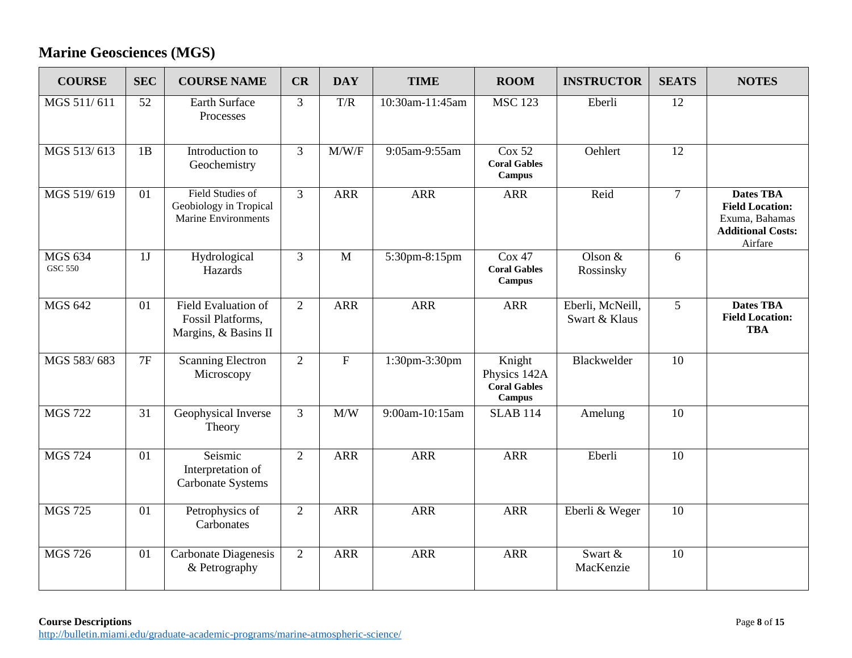## **Marine Geosciences (MGS)**

| <b>COURSE</b>                    | <b>SEC</b> | <b>COURSE NAME</b>                                                              | CR             | <b>DAY</b>       | <b>TIME</b>     | <b>ROOM</b>                                                    | <b>INSTRUCTOR</b>                 | <b>SEATS</b>    | <b>NOTES</b>                                                                                        |
|----------------------------------|------------|---------------------------------------------------------------------------------|----------------|------------------|-----------------|----------------------------------------------------------------|-----------------------------------|-----------------|-----------------------------------------------------------------------------------------------------|
| MGS 511/611                      | 52         | <b>Earth Surface</b><br>Processes                                               | $\overline{3}$ | T/R              | 10:30am-11:45am | <b>MSC 123</b>                                                 | Eberli                            | 12              |                                                                                                     |
| MGS 513/613                      | 1B         | Introduction to<br>Geochemistry                                                 | 3              | M/W/F            | 9:05am-9:55am   | Cox 52<br><b>Coral Gables</b><br><b>Campus</b>                 | Oehlert                           | 12              |                                                                                                     |
| MGS 519/619                      | 01         | <b>Field Studies of</b><br>Geobiology in Tropical<br><b>Marine Environments</b> | $\overline{3}$ | <b>ARR</b>       | <b>ARR</b>      | <b>ARR</b>                                                     | Reid                              | $\overline{7}$  | <b>Dates TBA</b><br><b>Field Location:</b><br>Exuma, Bahamas<br><b>Additional Costs:</b><br>Airfare |
| <b>MGS 634</b><br><b>GSC 550</b> | 1J         | Hydrological<br>Hazards                                                         | $\overline{3}$ | $\overline{M}$   | 5:30pm-8:15pm   | Cox 47<br><b>Coral Gables</b><br><b>Campus</b>                 | Olson $&$<br>Rossinsky            | 6               |                                                                                                     |
| <b>MGS 642</b>                   | 01         | Field Evaluation of<br>Fossil Platforms,<br>Margins, & Basins II                | $\overline{2}$ | <b>ARR</b>       | <b>ARR</b>      | <b>ARR</b>                                                     | Eberli, McNeill,<br>Swart & Klaus | 5               | <b>Dates TBA</b><br><b>Field Location:</b><br><b>TBA</b>                                            |
| MGS 583/683                      | 7F         | <b>Scanning Electron</b><br>Microscopy                                          | $\overline{2}$ | $\overline{F}$   | 1:30pm-3:30pm   | Knight<br>Physics 142A<br><b>Coral Gables</b><br><b>Campus</b> | Blackwelder                       | $\overline{10}$ |                                                                                                     |
| <b>MGS 722</b>                   | 31         | Geophysical Inverse<br>Theory                                                   | $\overline{3}$ | $\overline{M/W}$ | 9:00am-10:15am  | <b>SLAB 114</b>                                                | Amelung                           | $\overline{10}$ |                                                                                                     |
| <b>MGS 724</b>                   | 01         | Seismic<br>Interpretation of<br><b>Carbonate Systems</b>                        | $\overline{2}$ | <b>ARR</b>       | <b>ARR</b>      | <b>ARR</b>                                                     | Eberli                            | 10              |                                                                                                     |
| <b>MGS 725</b>                   | 01         | Petrophysics of<br>Carbonates                                                   | $\overline{2}$ | <b>ARR</b>       | <b>ARR</b>      | <b>ARR</b>                                                     | Eberli & Weger                    | 10              |                                                                                                     |
| <b>MGS 726</b>                   | 01         | <b>Carbonate Diagenesis</b><br>& Petrography                                    | $\overline{2}$ | <b>ARR</b>       | <b>ARR</b>      | <b>ARR</b>                                                     | Swart &<br>MacKenzie              | 10              |                                                                                                     |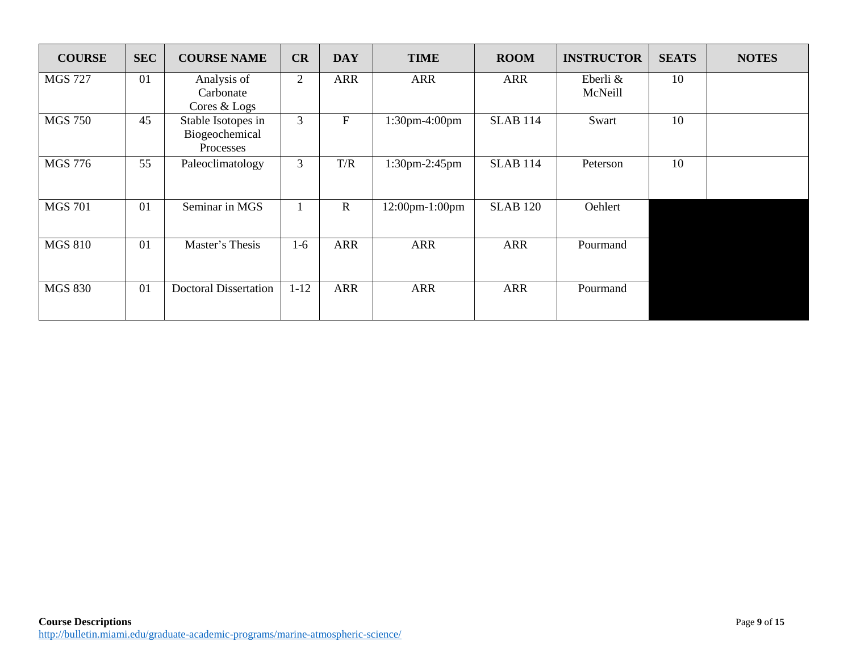| <b>COURSE</b>  | <b>SEC</b> | <b>COURSE NAME</b>                                | CR             | <b>DAY</b>   | <b>TIME</b>    | <b>ROOM</b>     | <b>INSTRUCTOR</b>   | <b>SEATS</b> | <b>NOTES</b> |
|----------------|------------|---------------------------------------------------|----------------|--------------|----------------|-----------------|---------------------|--------------|--------------|
| <b>MGS 727</b> | 01         | Analysis of<br>Carbonate<br>Cores & Logs          | $\overline{2}$ | <b>ARR</b>   | <b>ARR</b>     | <b>ARR</b>      | Eberli &<br>McNeill | 10           |              |
| <b>MGS 750</b> | 45         | Stable Isotopes in<br>Biogeochemical<br>Processes | 3              | $\mathbf F$  | 1:30pm-4:00pm  | <b>SLAB 114</b> | Swart               | 10           |              |
| <b>MGS 776</b> | 55         | Paleoclimatology                                  | 3              | T/R          | 1:30pm-2:45pm  | <b>SLAB 114</b> | Peterson            | 10           |              |
| <b>MGS 701</b> | 01         | Seminar in MGS                                    |                | $\mathbf{R}$ | 12:00pm-1:00pm | <b>SLAB 120</b> | Oehlert             |              |              |
| <b>MGS 810</b> | 01         | Master's Thesis                                   | $1-6$          | <b>ARR</b>   | <b>ARR</b>     | <b>ARR</b>      | Pourmand            |              |              |
| <b>MGS 830</b> | 01         | <b>Doctoral Dissertation</b>                      | $1 - 12$       | <b>ARR</b>   | <b>ARR</b>     | <b>ARR</b>      | Pourmand            |              |              |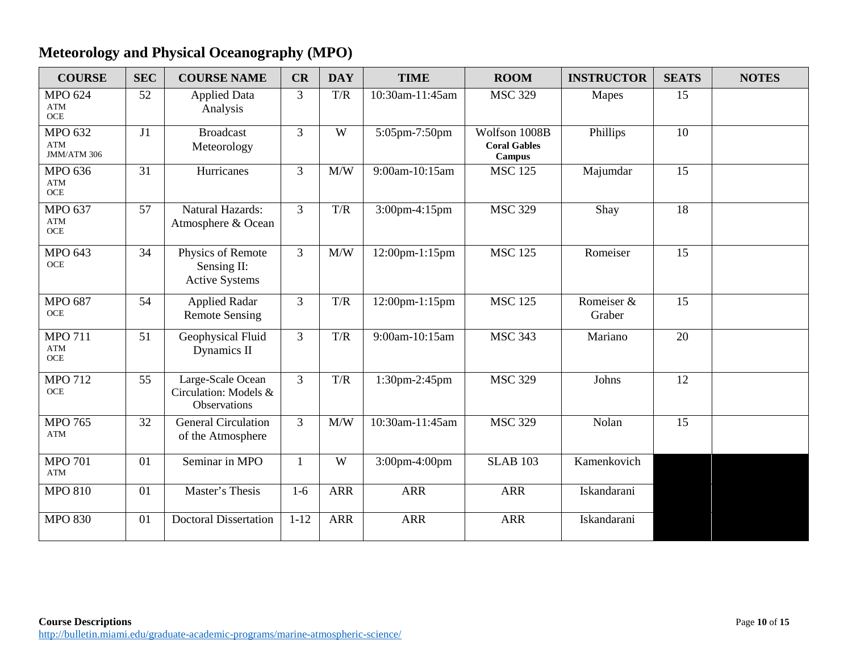## **Meteorology and Physical Oceanography (MPO)**

| <b>COURSE</b>                                   | <b>SEC</b> | <b>COURSE NAME</b>                                         | CR             | <b>DAY</b> | <b>TIME</b>     | <b>ROOM</b>                                           | <b>INSTRUCTOR</b>    | <b>SEATS</b> | <b>NOTES</b> |
|-------------------------------------------------|------------|------------------------------------------------------------|----------------|------------|-----------------|-------------------------------------------------------|----------------------|--------------|--------------|
| <b>MPO 624</b><br><b>ATM</b><br>$OCE$           | 52         | <b>Applied Data</b><br>Analysis                            | $\overline{3}$ | T/R        | 10:30am-11:45am | <b>MSC 329</b>                                        | Mapes                | 15           |              |
| <b>MPO 632</b><br>$\mathbf{ATM}$<br>JMM/ATM 306 | J1         | <b>Broadcast</b><br>Meteorology                            | $\overline{3}$ | W          | 5:05pm-7:50pm   | Wolfson 1008B<br><b>Coral Gables</b><br><b>Campus</b> | Phillips             | 10           |              |
| <b>MPO 636</b><br><b>ATM</b><br>$OCE$           | 31         | Hurricanes                                                 | 3              | M/W        | 9:00am-10:15am  | <b>MSC 125</b>                                        | Majumdar             | 15           |              |
| <b>MPO 637</b><br><b>ATM</b><br>$OCE$           | 57         | <b>Natural Hazards:</b><br>Atmosphere & Ocean              | $\overline{3}$ | T/R        | 3:00pm-4:15pm   | <b>MSC 329</b>                                        | Shay                 | 18           |              |
| <b>MPO 643</b><br><b>OCE</b>                    | 34         | Physics of Remote<br>Sensing II:<br><b>Active Systems</b>  | $\overline{3}$ | M/W        | 12:00pm-1:15pm  | <b>MSC 125</b>                                        | Romeiser             | 15           |              |
| <b>MPO 687</b><br><b>OCE</b>                    | 54         | <b>Applied Radar</b><br><b>Remote Sensing</b>              | $\overline{3}$ | T/R        | 12:00pm-1:15pm  | <b>MSC 125</b>                                        | Romeiser &<br>Graber | 15           |              |
| <b>MPO 711</b><br><b>ATM</b><br>$OCE$           | 51         | Geophysical Fluid<br>Dynamics II                           | $\overline{3}$ | T/R        | 9:00am-10:15am  | <b>MSC 343</b>                                        | Mariano              | 20           |              |
| <b>MPO 712</b><br><b>OCE</b>                    | 55         | Large-Scale Ocean<br>Circulation: Models &<br>Observations | 3              | T/R        | 1:30pm-2:45pm   | <b>MSC 329</b>                                        | Johns                | 12           |              |
| <b>MPO 765</b><br><b>ATM</b>                    | 32         | <b>General Circulation</b><br>of the Atmosphere            | 3              | M/W        | 10:30am-11:45am | <b>MSC 329</b>                                        | Nolan                | 15           |              |
| <b>MPO 701</b><br>ATM                           | 01         | Seminar in MPO                                             | -1             | W          | 3:00pm-4:00pm   | <b>SLAB 103</b>                                       | Kamenkovich          |              |              |
| <b>MPO 810</b>                                  | 01         | Master's Thesis                                            | $1-6$          | <b>ARR</b> | <b>ARR</b>      | <b>ARR</b>                                            | Iskandarani          |              |              |
| <b>MPO 830</b>                                  | 01         | <b>Doctoral Dissertation</b>                               | $1 - 12$       | <b>ARR</b> | <b>ARR</b>      | <b>ARR</b>                                            | Iskandarani          |              |              |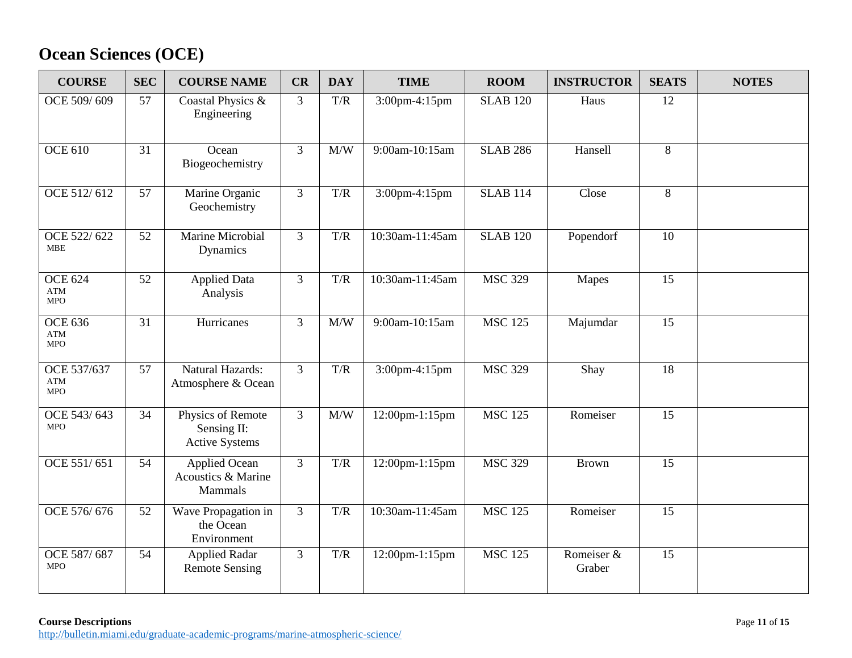# **Ocean Sciences (OCE)**

| <b>COURSE</b>                              | <b>SEC</b> | <b>COURSE NAME</b>                                        | CR             | <b>DAY</b>              | <b>TIME</b>     | <b>ROOM</b>     | <b>INSTRUCTOR</b>    | <b>SEATS</b> | <b>NOTES</b> |
|--------------------------------------------|------------|-----------------------------------------------------------|----------------|-------------------------|-----------------|-----------------|----------------------|--------------|--------------|
| OCE 509/609                                | 57         | Coastal Physics &<br>Engineering                          | 3              | $\mathrm{T}/\mathrm{R}$ | 3:00pm-4:15pm   | <b>SLAB 120</b> | Haus                 | 12           |              |
| <b>OCE 610</b>                             | 31         | Ocean<br>Biogeochemistry                                  | 3              | M/W                     | 9:00am-10:15am  | <b>SLAB 286</b> | Hansell              | 8            |              |
| OCE 512/612                                | 57         | Marine Organic<br>Geochemistry                            | $\overline{3}$ | T/R                     | 3:00pm-4:15pm   | <b>SLAB 114</b> | Close                | 8            |              |
| OCE 522/622<br><b>MBE</b>                  | 52         | Marine Microbial<br>Dynamics                              | $\overline{3}$ | T/R                     | 10:30am-11:45am | <b>SLAB 120</b> | Popendorf            | 10           |              |
| <b>OCE 624</b><br><b>ATM</b><br><b>MPO</b> | 52         | <b>Applied Data</b><br>Analysis                           | 3              | T/R                     | 10:30am-11:45am | <b>MSC 329</b>  | Mapes                | 15           |              |
| <b>OCE 636</b><br><b>ATM</b><br><b>MPO</b> | 31         | Hurricanes                                                | 3              | M/W                     | 9:00am-10:15am  | <b>MSC 125</b>  | Majumdar             | 15           |              |
| OCE 537/637<br><b>ATM</b><br><b>MPO</b>    | 57         | Natural Hazards:<br>Atmosphere & Ocean                    | $\overline{3}$ | T/R                     | 3:00pm-4:15pm   | <b>MSC 329</b>  | Shay                 | 18           |              |
| OCE 543/643<br><b>MPO</b>                  | 34         | Physics of Remote<br>Sensing II:<br><b>Active Systems</b> | $\overline{3}$ | M/W                     | 12:00pm-1:15pm  | <b>MSC 125</b>  | Romeiser             | 15           |              |
| OCE 551/651                                | 54         | <b>Applied Ocean</b><br>Acoustics & Marine<br>Mammals     | $\overline{3}$ | T/R                     | 12:00pm-1:15pm  | <b>MSC 329</b>  | <b>Brown</b>         | 15           |              |
| OCE 576/676                                | 52         | Wave Propagation in<br>the Ocean<br>Environment           | 3              | T/R                     | 10:30am-11:45am | <b>MSC 125</b>  | Romeiser             | 15           |              |
| OCE 587/687<br><b>MPO</b>                  | 54         | <b>Applied Radar</b><br><b>Remote Sensing</b>             | 3              | T/R                     | 12:00pm-1:15pm  | <b>MSC 125</b>  | Romeiser &<br>Graber | 15           |              |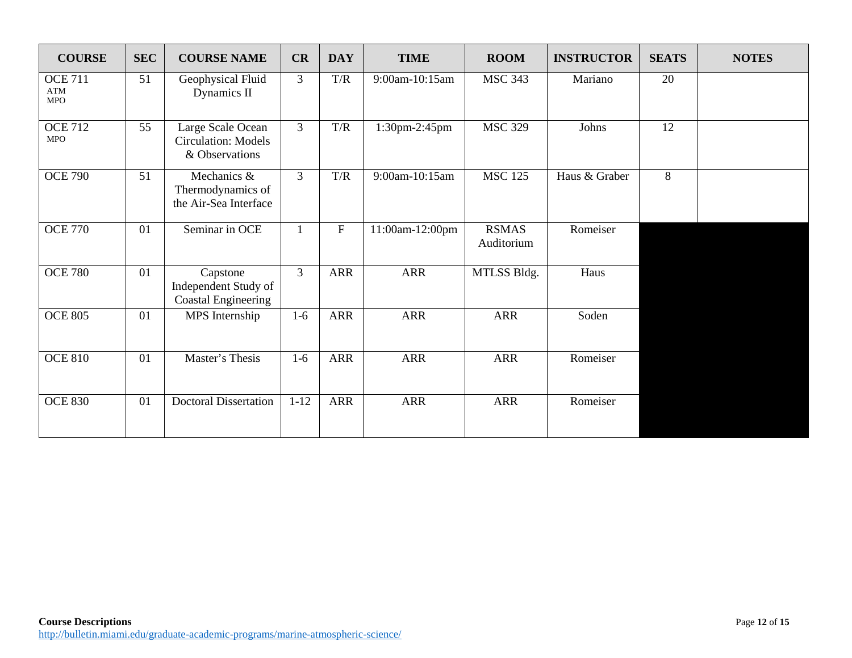| <b>COURSE</b>                              | <b>SEC</b> | <b>COURSE NAME</b>                                                | CR             | <b>DAY</b> | <b>TIME</b>     | <b>ROOM</b>                | <b>INSTRUCTOR</b> | <b>SEATS</b> | <b>NOTES</b> |
|--------------------------------------------|------------|-------------------------------------------------------------------|----------------|------------|-----------------|----------------------------|-------------------|--------------|--------------|
| <b>OCE 711</b><br><b>ATM</b><br><b>MPO</b> | 51         | Geophysical Fluid<br>Dynamics II                                  | $\overline{3}$ | T/R        | 9:00am-10:15am  | <b>MSC 343</b>             | Mariano           | 20           |              |
| <b>OCE 712</b><br><b>MPO</b>               | 55         | Large Scale Ocean<br><b>Circulation: Models</b><br>& Observations | 3              | T/R        | 1:30pm-2:45pm   | <b>MSC 329</b>             | Johns             | 12           |              |
| <b>OCE 790</b>                             | 51         | Mechanics &<br>Thermodynamics of<br>the Air-Sea Interface         | $\mathfrak{Z}$ | T/R        | 9:00am-10:15am  | <b>MSC 125</b>             | Haus & Graber     | 8            |              |
| <b>OCE 770</b>                             | 01         | Seminar in OCE                                                    | $\mathbf{1}$   | ${\bf F}$  | 11:00am-12:00pm | <b>RSMAS</b><br>Auditorium | Romeiser          |              |              |
| <b>OCE 780</b>                             | 01         | Capstone<br>Independent Study of<br><b>Coastal Engineering</b>    | $\overline{3}$ | <b>ARR</b> | <b>ARR</b>      | MTLSS Bldg.                | Haus              |              |              |
| <b>OCE 805</b>                             | 01         | MPS Internship                                                    | $1-6$          | <b>ARR</b> | <b>ARR</b>      | <b>ARR</b>                 | Soden             |              |              |
| <b>OCE 810</b>                             | 01         | Master's Thesis                                                   | $1-6$          | <b>ARR</b> | <b>ARR</b>      | <b>ARR</b>                 | Romeiser          |              |              |
| <b>OCE 830</b>                             | 01         | <b>Doctoral Dissertation</b>                                      | $1 - 12$       | <b>ARR</b> | <b>ARR</b>      | <b>ARR</b>                 | Romeiser          |              |              |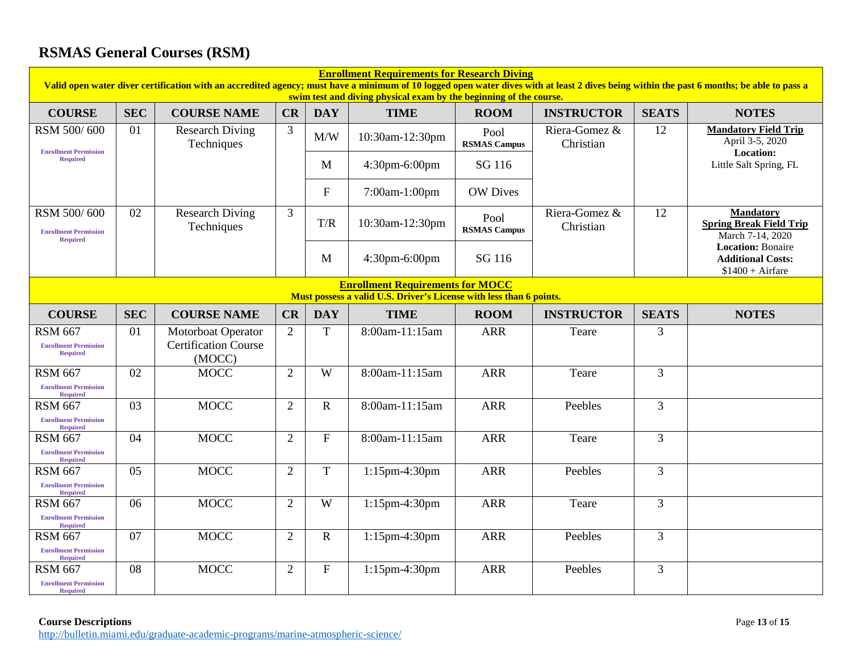## **RSMAS General Courses (RSM)**

| <b>Enrollment Requirements for Research Diving</b><br>Valid open water diver certification with an accredited agency; must have a minimum of 10 logged open water dives with at least 2 dives being within the past 6 months; be able to pass a<br>swim test and diving physical exam by the beginning of the course. |            |                                                             |                |                |                  |                             |                            |                |                                                                           |  |  |
|-----------------------------------------------------------------------------------------------------------------------------------------------------------------------------------------------------------------------------------------------------------------------------------------------------------------------|------------|-------------------------------------------------------------|----------------|----------------|------------------|-----------------------------|----------------------------|----------------|---------------------------------------------------------------------------|--|--|
| <b>COURSE</b>                                                                                                                                                                                                                                                                                                         | <b>SEC</b> | <b>COURSE NAME</b>                                          | CR             | <b>DAY</b>     | <b>TIME</b>      | <b>ROOM</b>                 | <b>INSTRUCTOR</b>          | <b>SEATS</b>   | <b>NOTES</b>                                                              |  |  |
| RSM 500/600<br><b>Enrollment Permission</b>                                                                                                                                                                                                                                                                           | 01         | <b>Research Diving</b><br>Techniques                        | 3              | M/W            | 10:30am-12:30pm  | Pool<br><b>RSMAS Campus</b> | Riera-Gomez &<br>Christian | 12             | <b>Mandatory Field Trip</b><br>April 3-5, 2020<br>Location:               |  |  |
| <b>Required</b>                                                                                                                                                                                                                                                                                                       |            |                                                             |                | M              | 4:30pm-6:00pm    | SG 116                      |                            |                | Little Salt Spring, FL                                                    |  |  |
|                                                                                                                                                                                                                                                                                                                       |            |                                                             |                | $\mathbf{F}$   | 7:00am-1:00pm    | <b>OW Dives</b>             |                            |                |                                                                           |  |  |
| RSM 500/600<br><b>Enrollment Permission</b><br><b>Required</b>                                                                                                                                                                                                                                                        | 02         | <b>Research Diving</b><br>Techniques                        | $\overline{3}$ | T/R            | 10:30am-12:30pm  | Pool<br><b>RSMAS Campus</b> | Riera-Gomez &<br>Christian | 12             | <b>Mandatory</b><br><b>Spring Break Field Trip</b><br>March 7-14, 2020    |  |  |
|                                                                                                                                                                                                                                                                                                                       |            |                                                             |                | M              | 4:30pm-6:00pm    | SG 116                      |                            |                | <b>Location: Bonaire</b><br><b>Additional Costs:</b><br>$$1400 + Airfare$ |  |  |
| <b>Enrollment Requirements for MOCC</b><br>Must possess a valid U.S. Driver's License with less than 6 points.                                                                                                                                                                                                        |            |                                                             |                |                |                  |                             |                            |                |                                                                           |  |  |
| <b>COURSE</b>                                                                                                                                                                                                                                                                                                         | <b>SEC</b> | <b>COURSE NAME</b>                                          | CR             | <b>DAY</b>     | <b>TIME</b>      | <b>ROOM</b>                 | <b>INSTRUCTOR</b>          | <b>SEATS</b>   | <b>NOTES</b>                                                              |  |  |
| <b>RSM 667</b><br><b>Enrollment Permission</b><br><b>Required</b>                                                                                                                                                                                                                                                     | 01         | Motorboat Operator<br><b>Certification Course</b><br>(MOCC) | $\overline{2}$ | T              | 8:00am-11:15am   | <b>ARR</b>                  | Teare                      | 3              |                                                                           |  |  |
| <b>RSM 667</b><br><b>Enrollment Permission</b><br><b>Required</b>                                                                                                                                                                                                                                                     | 02         | <b>MOCC</b>                                                 | $\overline{2}$ | W              | 8:00am-11:15am   | <b>ARR</b>                  | Teare                      | 3              |                                                                           |  |  |
| <b>RSM 667</b><br><b>Enrollment Permission</b><br><b>Required</b>                                                                                                                                                                                                                                                     | 03         | <b>MOCC</b>                                                 | $\overline{2}$ | $\mathbf R$    | 8:00am-11:15am   | <b>ARR</b>                  | Peebles                    | $\overline{3}$ |                                                                           |  |  |
| <b>RSM 667</b><br><b>Enrollment Permission</b><br><b>Required</b>                                                                                                                                                                                                                                                     | 04         | <b>MOCC</b>                                                 | $\overline{2}$ | $\overline{F}$ | 8:00am-11:15am   | <b>ARR</b>                  | Teare                      | $\overline{3}$ |                                                                           |  |  |
| <b>RSM 667</b><br><b>Enrollment Permission</b><br><b>Required</b>                                                                                                                                                                                                                                                     | 05         | <b>MOCC</b>                                                 | 2              | $\mathbf T$    | $1:15$ pm-4:30pm | <b>ARR</b>                  | Peebles                    | 3              |                                                                           |  |  |
| <b>RSM 667</b><br><b>Enrollment Permission</b>                                                                                                                                                                                                                                                                        | 06         | <b>MOCC</b>                                                 | $\overline{2}$ | W              | 1:15pm-4:30pm    | <b>ARR</b>                  | Teare                      | 3              |                                                                           |  |  |
| <b>Required</b><br><b>RSM 667</b><br><b>Enrollment Permission</b><br><b>Required</b>                                                                                                                                                                                                                                  | 07         | <b>MOCC</b>                                                 | $\overline{2}$ | $\mathbf R$    | $1:15$ pm-4:30pm | <b>ARR</b>                  | Peebles                    | $\overline{3}$ |                                                                           |  |  |
| <b>RSM 667</b><br><b>Enrollment Permission</b><br><b>Required</b>                                                                                                                                                                                                                                                     | 08         | <b>MOCC</b>                                                 | $\overline{2}$ | $\overline{F}$ | $1:15$ pm-4:30pm | <b>ARR</b>                  | Peebles                    | $\overline{3}$ |                                                                           |  |  |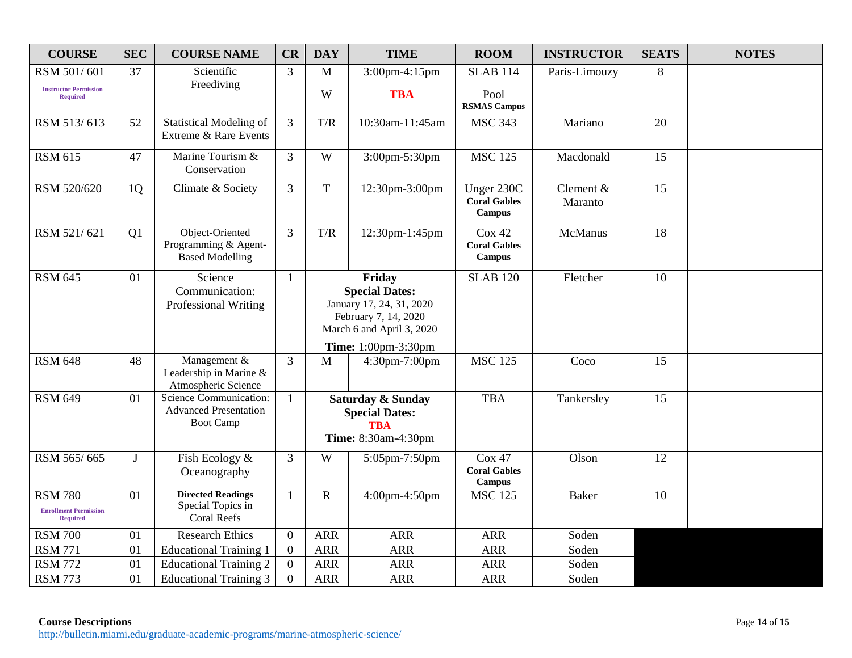| <b>COURSE</b>                                                     | <b>SEC</b> | <b>COURSE NAME</b>                                                         | CR             | <b>DAY</b>                                                                                                       | <b>TIME</b>     | <b>ROOM</b>                                        | <b>INSTRUCTOR</b>    | <b>SEATS</b> | <b>NOTES</b> |
|-------------------------------------------------------------------|------------|----------------------------------------------------------------------------|----------------|------------------------------------------------------------------------------------------------------------------|-----------------|----------------------------------------------------|----------------------|--------------|--------------|
| RSM 501/601                                                       | 37         | Scientific                                                                 | 3              | M                                                                                                                | 3:00pm-4:15pm   | <b>SLAB 114</b>                                    | Paris-Limouzy        | 8            |              |
| <b>Instructor Permission</b><br><b>Required</b>                   |            | Freediving                                                                 |                | W                                                                                                                | <b>TBA</b>      | Pool<br><b>RSMAS Campus</b>                        |                      |              |              |
| RSM 513/613                                                       | 52         | <b>Statistical Modeling of</b><br>Extreme & Rare Events                    | 3              | T/R                                                                                                              | 10:30am-11:45am | <b>MSC 343</b>                                     | Mariano              | 20           |              |
| <b>RSM 615</b>                                                    | 47         | Marine Tourism &<br>Conservation                                           | $\overline{3}$ | W                                                                                                                | 3:00pm-5:30pm   | <b>MSC 125</b>                                     | Macdonald            | 15           |              |
| RSM 520/620                                                       | 1Q         | Climate & Society                                                          | 3              | $\mathbf T$                                                                                                      | 12:30pm-3:00pm  | Unger 230C<br><b>Coral Gables</b><br><b>Campus</b> | Clement &<br>Maranto | 15           |              |
| RSM 521/621                                                       | Q1         | Object-Oriented<br>Programming & Agent-<br><b>Based Modelling</b>          | $\overline{3}$ | T/R                                                                                                              | 12:30pm-1:45pm  | Cox 42<br><b>Coral Gables</b><br><b>Campus</b>     | <b>McManus</b>       | 18           |              |
| <b>RSM 645</b>                                                    | 01         | Science<br>Communication:<br>Professional Writing                          | 1              | Friday<br><b>Special Dates:</b><br>January 17, 24, 31, 2020<br>February 7, 14, 2020<br>March 6 and April 3, 2020 |                 | <b>SLAB 120</b>                                    | Fletcher             | 10           |              |
|                                                                   |            |                                                                            |                | Time: 1:00pm-3:30pm                                                                                              |                 |                                                    |                      |              |              |
| <b>RSM 648</b>                                                    | 48         | Management &<br>Leadership in Marine &<br>Atmospheric Science              | 3              | M                                                                                                                | 4:30pm-7:00pm   | <b>MSC 125</b>                                     | Coco                 | 15           |              |
| <b>RSM 649</b>                                                    | 01         | Science Communication:<br><b>Advanced Presentation</b><br><b>Boot Camp</b> | $\mathbf{1}$   | Saturday & Sunday<br><b>Special Dates:</b><br><b>TRA</b><br>Time: 8:30am-4:30pm                                  |                 | <b>TBA</b>                                         | Tankersley           | 15           |              |
| RSM 565/665                                                       | J          | Fish Ecology &<br>Oceanography                                             | 3              | W                                                                                                                | 5:05pm-7:50pm   | Cox 47<br><b>Coral Gables</b><br><b>Campus</b>     | Olson                | 12           |              |
| <b>RSM 780</b><br><b>Enrollment Permission</b><br><b>Required</b> | 01         | <b>Directed Readings</b><br>Special Topics in<br><b>Coral Reefs</b>        | 1              | $\mathbf R$                                                                                                      | 4:00pm-4:50pm   | <b>MSC 125</b>                                     | <b>Baker</b>         | 10           |              |
| <b>RSM 700</b>                                                    | 01         | <b>Research Ethics</b>                                                     | $\overline{0}$ | <b>ARR</b>                                                                                                       | <b>ARR</b>      | <b>ARR</b>                                         | Soden                |              |              |
| <b>RSM 771</b>                                                    | 01         | <b>Educational Training 1</b>                                              | $\mathbf{0}$   | <b>ARR</b>                                                                                                       | <b>ARR</b>      | <b>ARR</b>                                         | Soden                |              |              |
| <b>RSM 772</b>                                                    | 01         | <b>Educational Training 2</b>                                              | $\overline{0}$ | <b>ARR</b>                                                                                                       | <b>ARR</b>      | <b>ARR</b>                                         | Soden                |              |              |
| <b>RSM 773</b>                                                    | 01         | <b>Educational Training 3</b>                                              | $\theta$       | <b>ARR</b>                                                                                                       | <b>ARR</b>      | <b>ARR</b>                                         | Soden                |              |              |